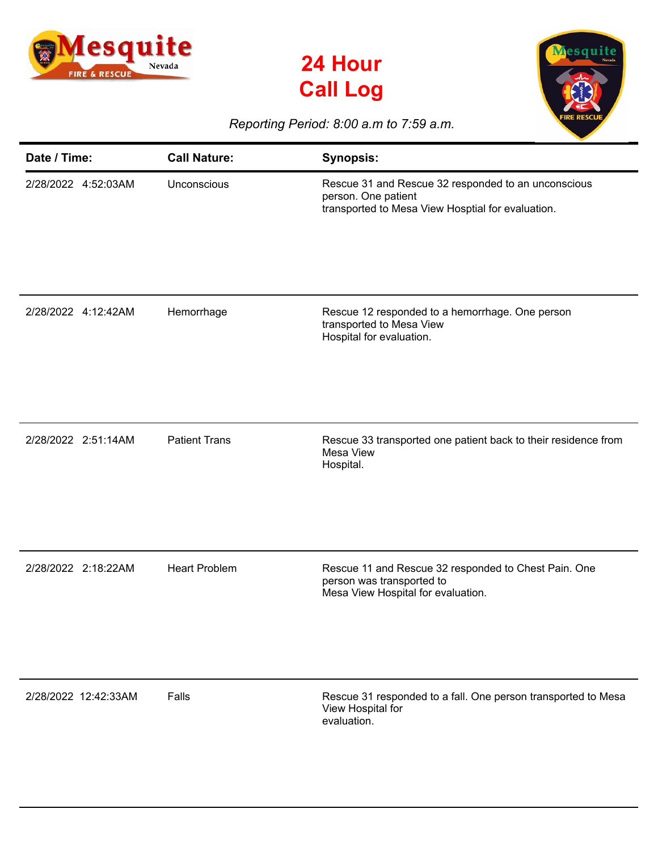





## *Reporting Period: 8:00 a.m to 7:59 a.m.*

| Date / Time:         | <b>Call Nature:</b>  | <b>Synopsis:</b>                                                                                                                |
|----------------------|----------------------|---------------------------------------------------------------------------------------------------------------------------------|
| 2/28/2022 4:52:03AM  | Unconscious          | Rescue 31 and Rescue 32 responded to an unconscious<br>person. One patient<br>transported to Mesa View Hosptial for evaluation. |
| 2/28/2022 4:12:42AM  | Hemorrhage           | Rescue 12 responded to a hemorrhage. One person<br>transported to Mesa View<br>Hospital for evaluation.                         |
| 2/28/2022 2:51:14AM  | <b>Patient Trans</b> | Rescue 33 transported one patient back to their residence from<br>Mesa View<br>Hospital.                                        |
| 2/28/2022 2:18:22AM  | <b>Heart Problem</b> | Rescue 11 and Rescue 32 responded to Chest Pain. One<br>person was transported to<br>Mesa View Hospital for evaluation.         |
| 2/28/2022 12:42:33AM | Falls                | Rescue 31 responded to a fall. One person transported to Mesa<br>View Hospital for<br>evaluation.                               |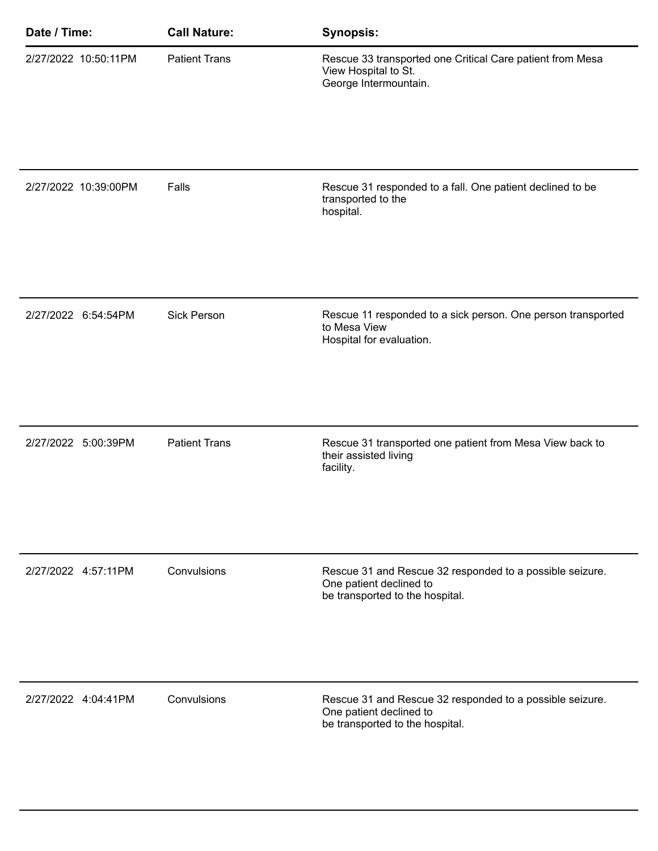| Date / Time:         | <b>Call Nature:</b>  | <b>Synopsis:</b>                                                                                                       |
|----------------------|----------------------|------------------------------------------------------------------------------------------------------------------------|
| 2/27/2022 10:50:11PM | <b>Patient Trans</b> | Rescue 33 transported one Critical Care patient from Mesa<br>View Hospital to St.<br>George Intermountain.             |
|                      |                      |                                                                                                                        |
| 2/27/2022 10:39:00PM | Falls                | Rescue 31 responded to a fall. One patient declined to be<br>transported to the<br>hospital.                           |
|                      |                      |                                                                                                                        |
| 2/27/2022 6:54:54PM  | <b>Sick Person</b>   | Rescue 11 responded to a sick person. One person transported<br>to Mesa View<br>Hospital for evaluation.               |
|                      |                      |                                                                                                                        |
| 2/27/2022 5:00:39PM  | <b>Patient Trans</b> | Rescue 31 transported one patient from Mesa View back to<br>their assisted living<br>facility.                         |
|                      |                      |                                                                                                                        |
| 2/27/2022 4:57:11PM  | Convulsions          | Rescue 31 and Rescue 32 responded to a possible seizure.<br>One patient declined to<br>be transported to the hospital. |
|                      |                      |                                                                                                                        |
| 2/27/2022 4:04:41PM  | Convulsions          | Rescue 31 and Rescue 32 responded to a possible seizure.<br>One patient declined to<br>be transported to the hospital. |